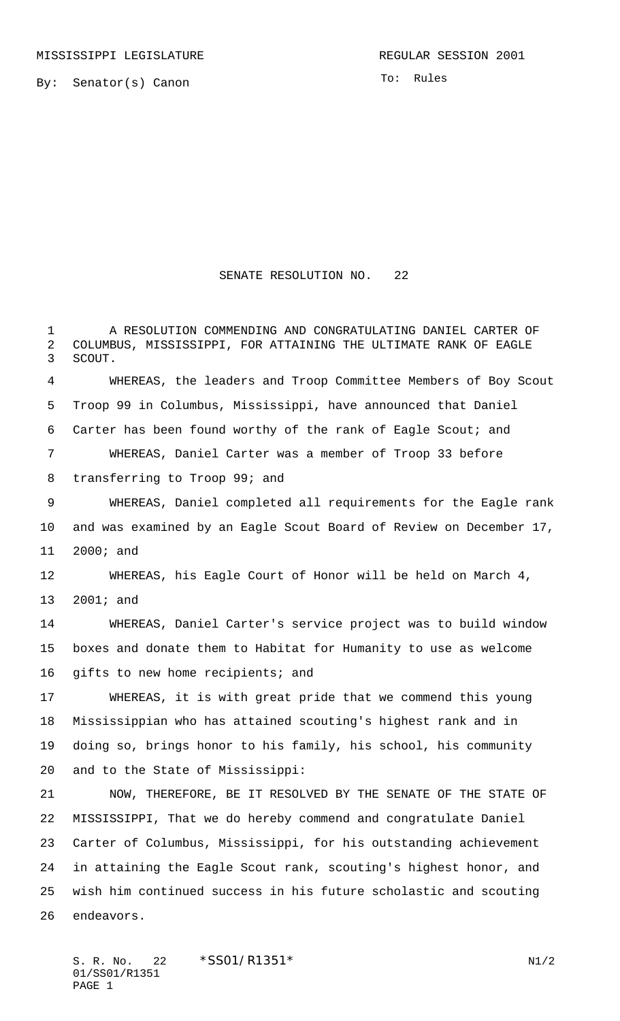By: Senator(s) Canon

To: Rules

## SENATE RESOLUTION NO. 22

 A RESOLUTION COMMENDING AND CONGRATULATING DANIEL CARTER OF COLUMBUS, MISSISSIPPI, FOR ATTAINING THE ULTIMATE RANK OF EAGLE

 SCOUT. WHEREAS, the leaders and Troop Committee Members of Boy Scout Troop 99 in Columbus, Mississippi, have announced that Daniel Carter has been found worthy of the rank of Eagle Scout; and WHEREAS, Daniel Carter was a member of Troop 33 before transferring to Troop 99; and WHEREAS, Daniel completed all requirements for the Eagle rank and was examined by an Eagle Scout Board of Review on December 17, 2000; and WHEREAS, his Eagle Court of Honor will be held on March 4, 2001; and WHEREAS, Daniel Carter's service project was to build window boxes and donate them to Habitat for Humanity to use as welcome gifts to new home recipients; and WHEREAS, it is with great pride that we commend this young Mississippian who has attained scouting's highest rank and in doing so, brings honor to his family, his school, his community and to the State of Mississippi: NOW, THEREFORE, BE IT RESOLVED BY THE SENATE OF THE STATE OF MISSISSIPPI, That we do hereby commend and congratulate Daniel Carter of Columbus, Mississippi, for his outstanding achievement in attaining the Eagle Scout rank, scouting's highest honor, and wish him continued success in his future scholastic and scouting endeavors.

S. R. No. 22 \* SS01/R1351\* N1/2 01/SS01/R1351 PAGE 1